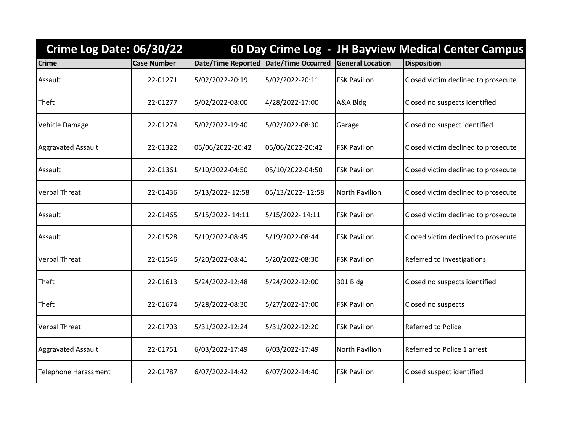| <b>Crime Log Date: 06/30/22</b> |                    |                  |                                       |                         | 60 Day Crime Log - JH Bayview Medical Center Campus |
|---------------------------------|--------------------|------------------|---------------------------------------|-------------------------|-----------------------------------------------------|
| <b>Crime</b>                    | <b>Case Number</b> |                  | Date/Time Reported Date/Time Occurred | <b>General Location</b> | <b>Disposition</b>                                  |
| Assault                         | 22-01271           | 5/02/2022-20:19  | 5/02/2022-20:11                       | <b>FSK Pavilion</b>     | Closed victim declined to prosecute                 |
| Theft                           | 22-01277           | 5/02/2022-08:00  | 4/28/2022-17:00                       | A&A Bldg                | Closed no suspects identified                       |
| Vehicle Damage                  | 22-01274           | 5/02/2022-19:40  | 5/02/2022-08:30                       | Garage                  | Closed no suspect identified                        |
| <b>Aggravated Assault</b>       | 22-01322           | 05/06/2022-20:42 | 05/06/2022-20:42                      | <b>FSK Pavilion</b>     | Closed victim declined to prosecute                 |
| Assault                         | 22-01361           | 5/10/2022-04:50  | 05/10/2022-04:50                      | <b>FSK Pavilion</b>     | Closed victim declined to prosecute                 |
| <b>Verbal Threat</b>            | 22-01436           | 5/13/2022-12:58  | 05/13/2022-12:58                      | North Pavilion          | Closed victim declined to prosecute                 |
| Assault                         | 22-01465           | 5/15/2022-14:11  | 5/15/2022-14:11                       | <b>FSK Pavilion</b>     | Closed victim declined to prosecute                 |
| Assault                         | 22-01528           | 5/19/2022-08:45  | 5/19/2022-08:44                       | <b>FSK Pavilion</b>     | Cloced victim declined to prosecute                 |
| <b>Verbal Threat</b>            | 22-01546           | 5/20/2022-08:41  | 5/20/2022-08:30                       | <b>FSK Pavilion</b>     | Referred to investigations                          |
| Theft                           | 22-01613           | 5/24/2022-12:48  | 5/24/2022-12:00                       | 301 Bldg                | Closed no suspects identified                       |
| Theft                           | 22-01674           | 5/28/2022-08:30  | 5/27/2022-17:00                       | <b>FSK Pavilion</b>     | Closed no suspects                                  |
| <b>Verbal Threat</b>            | 22-01703           | 5/31/2022-12:24  | 5/31/2022-12:20                       | <b>FSK Pavilion</b>     | <b>Referred to Police</b>                           |
| <b>Aggravated Assault</b>       | 22-01751           | 6/03/2022-17:49  | 6/03/2022-17:49                       | North Pavilion          | Referred to Police 1 arrest                         |
| <b>Telephone Harassment</b>     | 22-01787           | 6/07/2022-14:42  | 6/07/2022-14:40                       | <b>FSK Pavilion</b>     | Closed suspect identified                           |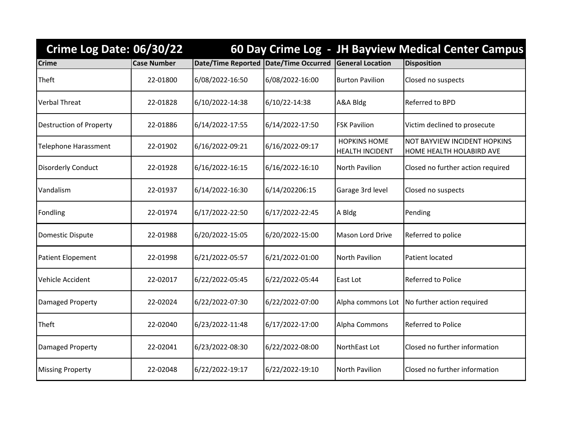| Crime Log Date: 06/30/22       |                    |                 |                                         |                                               | 60 Day Crime Log - JH Bayview Medical Center Campus             |
|--------------------------------|--------------------|-----------------|-----------------------------------------|-----------------------------------------------|-----------------------------------------------------------------|
| <b>Crime</b>                   | <b>Case Number</b> |                 | Date/Time Reported   Date/Time Occurred | <b>General Location</b>                       | <b>Disposition</b>                                              |
| Theft                          | 22-01800           | 6/08/2022-16:50 | 6/08/2022-16:00                         | <b>Burton Pavilion</b>                        | Closed no suspects                                              |
| <b>Verbal Threat</b>           | 22-01828           | 6/10/2022-14:38 | 6/10/22-14:38                           | A&A Bldg                                      | <b>Referred to BPD</b>                                          |
| <b>Destruction of Property</b> | 22-01886           | 6/14/2022-17:55 | 6/14/2022-17:50                         | <b>FSK Pavilion</b>                           | Victim declined to prosecute                                    |
| <b>Telephone Harassment</b>    | 22-01902           | 6/16/2022-09:21 | 6/16/2022-09:17                         | <b>HOPKINS HOME</b><br><b>HEALTH INCIDENT</b> | <b>NOT BAYVIEW INCIDENT HOPKINS</b><br>HOME HEALTH HOLABIRD AVE |
| <b>Disorderly Conduct</b>      | 22-01928           | 6/16/2022-16:15 | 6/16/2022-16:10                         | <b>North Pavilion</b>                         | Closed no further action required                               |
| Vandalism                      | 22-01937           | 6/14/2022-16:30 | 6/14/202206:15                          | Garage 3rd level                              | Closed no suspects                                              |
| Fondling                       | 22-01974           | 6/17/2022-22:50 | 6/17/2022-22:45                         | A Bldg                                        | Pending                                                         |
| <b>Domestic Dispute</b>        | 22-01988           | 6/20/2022-15:05 | 6/20/2022-15:00                         | <b>Mason Lord Drive</b>                       | Referred to police                                              |
| <b>Patient Elopement</b>       | 22-01998           | 6/21/2022-05:57 | 6/21/2022-01:00                         | <b>North Pavilion</b>                         | Patient located                                                 |
| Vehicle Accident               | 22-02017           | 6/22/2022-05:45 | 6/22/2022-05:44                         | East Lot                                      | <b>Referred to Police</b>                                       |
| Damaged Property               | 22-02024           | 6/22/2022-07:30 | 6/22/2022-07:00                         | Alpha commons Lot                             | No further action required                                      |
| Theft                          | 22-02040           | 6/23/2022-11:48 | 6/17/2022-17:00                         | Alpha Commons                                 | <b>Referred to Police</b>                                       |
| Damaged Property               | 22-02041           | 6/23/2022-08:30 | 6/22/2022-08:00                         | NorthEast Lot                                 | Closed no further information                                   |
| <b>Missing Property</b>        | 22-02048           | 6/22/2022-19:17 | 6/22/2022-19:10                         | <b>North Pavilion</b>                         | Closed no further information                                   |